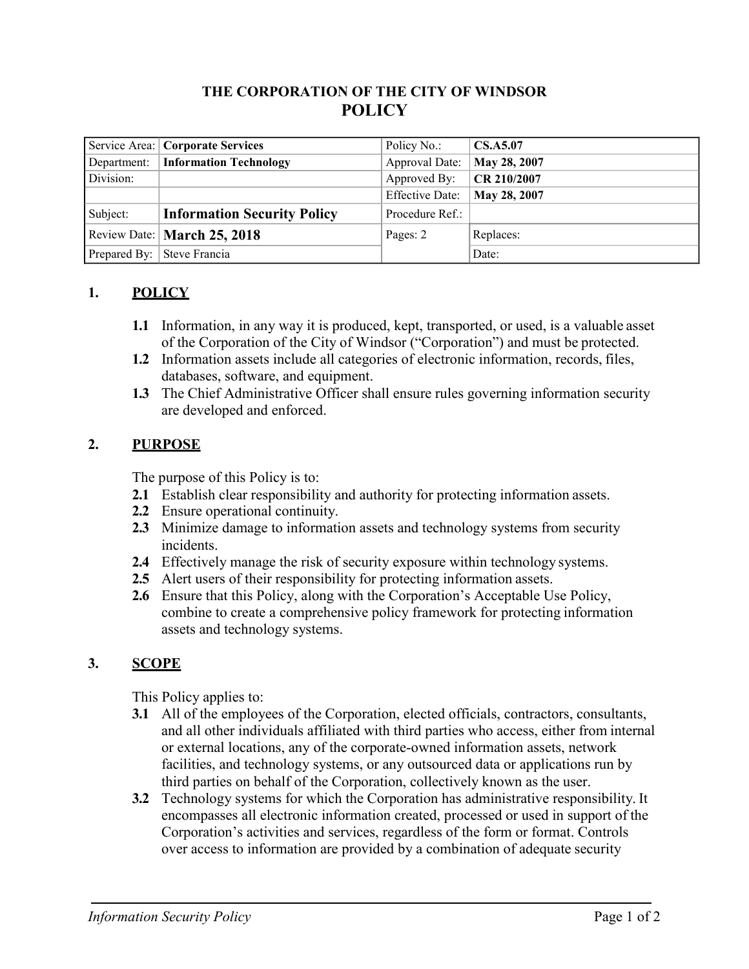## **THE CORPORATION OF THE CITY OF WINDSOR POLICY**

|             | Service Area:   Corporate Services | Policy No.:            | <b>CS.A5.07</b> |
|-------------|------------------------------------|------------------------|-----------------|
| Department: | <b>Information Technology</b>      | Approval Date:         | May 28, 2007    |
| Division:   |                                    | Approved By:           | CR 210/2007     |
|             |                                    | <b>Effective Date:</b> | May 28, 2007    |
| Subject:    | <b>Information Security Policy</b> | Procedure Ref.:        |                 |
|             | Review Date:   March 25, 2018      | Pages: 2               | Replaces:       |
|             | Prepared By: Steve Francia         |                        | Date:           |

### **1. POLICY**

- **1.1** Information, in any way it is produced, kept, transported, or used, is a valuable asset of the Corporation of the City of Windsor ("Corporation") and must be protected.
- **1.2** Information assets include all categories of electronic information, records, files, databases, software, and equipment.
- **1.3** The Chief Administrative Officer shall ensure rules governing information security are developed and enforced.

### **2. PURPOSE**

The purpose of this Policy is to:

- **2.1** Establish clear responsibility and authority for protecting information assets.
- **2.2** Ensure operational continuity.
- **2.3** Minimize damage to information assets and technology systems from security incidents.
- **2.4** Effectively manage the risk of security exposure within technology systems.
- **2.5** Alert users of their responsibility for protecting information assets.
- **2.6** Ensure that this Policy, along with the Corporation's Acceptable Use Policy, combine to create a comprehensive policy framework for protecting information assets and technology systems.

## **3. SCOPE**

This Policy applies to:

- **3.1** All of the employees of the Corporation, elected officials, contractors, consultants, and all other individuals affiliated with third parties who access, either from internal or external locations, any of the corporate-owned information assets, network facilities, and technology systems, or any outsourced data or applications run by third parties on behalf of the Corporation, collectively known as the user.
- **3.2** Technology systems for which the Corporation has administrative responsibility. It encompasses all electronic information created, processed or used in support of the Corporation's activities and services, regardless of the form or format. Controls over access to information are provided by a combination of adequate security